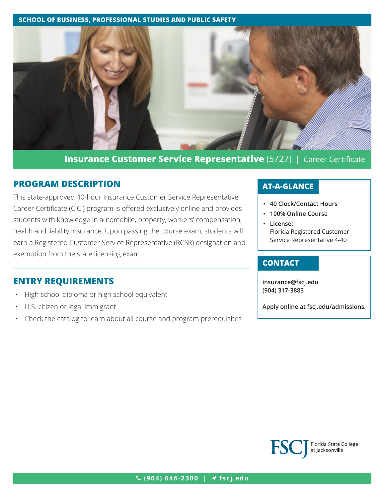#### **SCHOOL OF BUSINESS, PROFESSIONAL STUDIES AND PUBLIC SAFETY**



**Insurance Customer Service Representative** (5727) **|** Career Certificate

# **PROGRAM DESCRIPTION**

This state-approved 40-hour Insurance Customer Service Representative Career Certificate (C.C.) program is offered exclusively online and provides students with knowledge in automobile, property, workers' compensation, health and liability insurance. Upon passing the course exam, students will earn a Registered Customer Service Representative (RCSR) designation and exemption from the state licensing exam.

# **ENTRY REQUIREMENTS**

- High school diploma or high school equivalent
- U.S. citizen or legal immigrant
- Check the catalog to learn about all course and program prerequisites

# **AT-A-GLANCE**

- **• 40 Clock/Contact Hours**
- **• 100% Online Course**
- **• License:** Florida Registered Customer Service Representative 4-40

## **CONTACT**

**insurance[@fscj.edu](mailto:insurance%40fscj.edu?subject=) (904) 317-3883**

**Apply online at [fscj.edu/admissions](http://www.fscj.edu/admissions).**